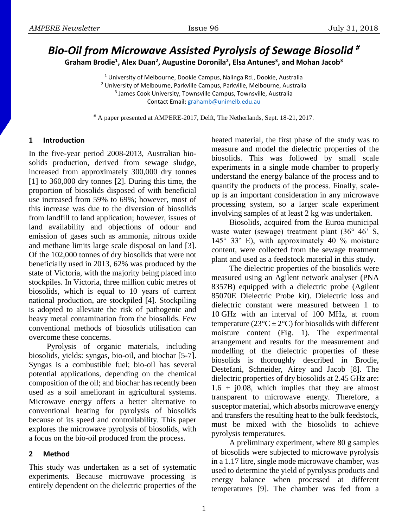# *Bio-Oil from Microwave Assisted Pyrolysis of Sewage Biosolid #*

**Graham Brodie<sup>1</sup> , Alex Duan<sup>2</sup> , Augustine Doronila<sup>2</sup> , Elsa Antunes<sup>3</sup> , and Mohan Jacob<sup>3</sup>**

<sup>1</sup> University of Melbourne, Dookie Campus, Nalinga Rd., Dookie, Australia <sup>2</sup> University of Melbourne, Parkville Campus, Parkville, Melbourne, Australia 3 James Cook University, Townsville Campus, Townsville, Australia Contact Email: [grahamb@unimelb.edu.au](mailto:grahamb@unimelb.edu.au)

# A paper presented at AMPERE-2017, Delft, The Netherlands, Sept. 18-21, 2017.

## **1 Introduction**

In the five-year period 2008-2013, Australian biosolids production, derived from sewage sludge, increased from approximately 300,000 dry tonnes [1] to 360,000 dry tonnes [2]. During this time, the proportion of biosolids disposed of with beneficial use increased from 59% to 69%; however, most of this increase was due to the diversion of biosolids from landfill to land application; however, issues of land availability and objections of odour and emission of gases such as ammonia, nitrous oxide and methane limits large scale disposal on land [3]. Of the 102,000 tonnes of dry biosolids that were not beneficially used in 2013, 62% was produced by the state of Victoria, with the majority being placed into stockpiles. In Victoria, three million cubic metres of biosolids, which is equal to 10 years of current national production, are stockpiled [4]. Stockpiling is adopted to alleviate the risk of pathogenic and heavy metal contamination from the biosolids. Few conventional methods of biosolids utilisation can overcome these concerns.

Pyrolysis of organic materials, including biosolids, yields: syngas, bio-oil, and biochar [5-7]. Syngas is a combustible fuel; bio-oil has several potential applications, depending on the chemical composition of the oil; and biochar has recently been used as a soil ameliorant in agricultural systems. Microwave energy offers a better alternative to conventional heating for pyrolysis of biosolids because of its speed and controllability. This paper explores the microwave pyrolysis of biosolids, with a focus on the bio-oil produced from the process.

# **2 Method**

This study was undertaken as a set of systematic experiments. Because microwave processing is entirely dependent on the dielectric properties of the

heated material, the first phase of the study was to measure and model the dielectric properties of the biosolids. This was followed by small scale experiments in a single mode chamber to properly understand the energy balance of the process and to quantify the products of the process. Finally, scaleup is an important consideration in any microwave processing system, so a larger scale experiment involving samples of at least 2 kg was undertaken.

Biosolids, acquired from the Euroa municipal waste water (sewage) treatment plant (36° 46<sup>°</sup> S, 145° 33' E), with approximately 40 % moisture content, were collected from the sewage treatment plant and used as a feedstock material in this study.

The dielectric properties of the biosolids were measured using an Agilent network analyser (PNA 8357B) equipped with a dielectric probe (Agilent 85070E Dielectric Probe kit). Dielectric loss and dielectric constant were measured between 1 to 10 GHz with an interval of 100 MHz, at room temperature ( $23^{\circ}C \pm 2^{\circ}C$ ) for biosolids with different moisture content (Fig. 1). The experimental arrangement and results for the measurement and modelling of the dielectric properties of these biosolids is thoroughly described in Brodie, Destefani, Schneider, Airey and Jacob [8]. The dielectric properties of dry biosolids at 2.45 GHz are:  $1.6 + j0.08$ , which implies that they are almost transparent to microwave energy. Therefore, a susceptor material, which absorbs microwave energy and transfers the resulting heat to the bulk feedstock, must be mixed with the biosolids to achieve pyrolysis temperatures.

A preliminary experiment, where 80 g samples of biosolids were subjected to microwave pyrolysis in a 1.17 litre, single mode microwave chamber, was used to determine the yield of pyrolysis products and energy balance when processed at different temperatures [9]. The chamber was fed from a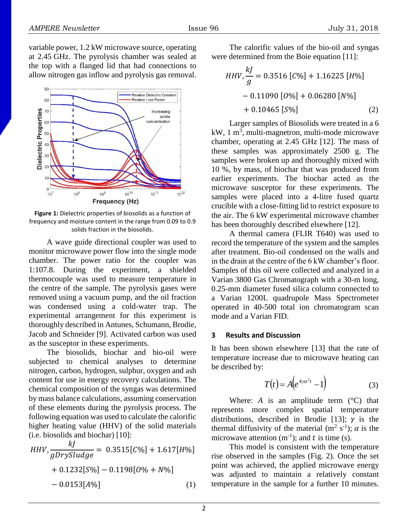variable power, 1.2 kW microwave source, operating at 2.45 GHz. The pyrolysis chamber was sealed at the top with a flanged lid that had connections to allow nitrogen gas inflow and pyrolysis gas removal.



**Figure 1:** Dielectric properties of biosolids as a function of frequency and moisture content in the range from 0.09 to 0.9 solids fraction in the biosolids.

A wave guide directional coupler was used to monitor microwave power flow into the single mode chamber. The power ratio for the coupler was 1:107.8. During the experiment, a shielded thermocouple was used to measure temperature in the centre of the sample. The pyrolysis gases were removed using a vacuum pump, and the oil fraction was condensed using a cold-water trap. The experimental arrangement for this experiment is thoroughly described in Antunes, Schumann, Brodie, Jacob and Schneider [9]. Activated carbon was used as the susceptor in these experiments.

The biosolids, biochar and bio-oil were subjected to chemical analyses to determine nitrogen, carbon, hydrogen, sulphur, oxygen and ash content for use in energy recovery calculations. The chemical composition of the syngas was determined by mass balance calculations, assuming conservation of these elements during the pyrolysis process. The following equation was used to calculate the calorific higher heating value (HHV) of the solid materials (i.e. biosolids and biochar) [10]:

$$
HHV, \frac{kJ}{gDrySludge} = 0.3515[C\%] + 1.617[H\%]
$$

$$
+ 0.1232[S\%] - 0.1198[0\% + N\%]
$$

$$
- 0.0153[A\%]
$$
(1)

The calorific values of the bio-oil and syngas were determined from the Boie equation [11]:

*HHV*, 
$$
\frac{kJ}{g}
$$
 = 0.3516 [*C*%] + 1.16225 [*H*%]  
- 0.11090 [*O*%] + 0.06280 [*N*%]  
+ 0.10465 [*S*%] (2)

Larger samples of Biosolids were treated in a 6  $kW$ , 1 m<sup>3</sup>, multi-magnetron, multi-mode microwave chamber, operating at 2.45 GHz [12]. The mass of these samples was approximately 2500 g. The samples were broken up and thoroughly mixed with 10 %, by mass, of biochar that was produced from earlier experiments. The biochar acted as the microwave susceptor for these experiments. The samples were placed into a 4-litre fused quartz crucible with a close-fitting lid to restrict exposure to the air. The 6 kW experimental microwave chamber has been thoroughly described elsewhere [12].

A thermal camera (FLIR T640) was used to record the temperature of the system and the samples after treatment. Bio-oil condensed on the walls and in the drain at the centre of the 6 kW chamber's floor. Samples of this oil were collected and analyzed in a Varian 3800 Gas Chromatograph with a 30-m long, 0.25-mm diameter fused silica column connected to a Varian 1200L quadrupole Mass Spectrometer operated in 40-500 total ion chromatogram scan mode and a Varian FID.

#### **3 Results and Discussion**

It has been shown elsewhere [13] that the rate of temperature increase due to microwave heating can be described by:

$$
T(t) = A\left(e^{4\gamma\alpha^2t} - 1\right) \tag{3}
$$

Where:  $A$  is an amplitude term  $(^{\circ}C)$  that represents more complex spatial temperature distributions, described in Brodie [13];  $\gamma$  is the thermal diffusivity of the material  $(m^2 s^{-1})$ ;  $\alpha$  is the microwave attention  $(m^{-1})$ ; and t is time (s).

This model is consistent with the temperature rise observed in the samples (Fig. 2). Once the set point was achieved, the applied microwave energy was adjusted to maintain a relatively constant temperature in the sample for a further 10 minutes.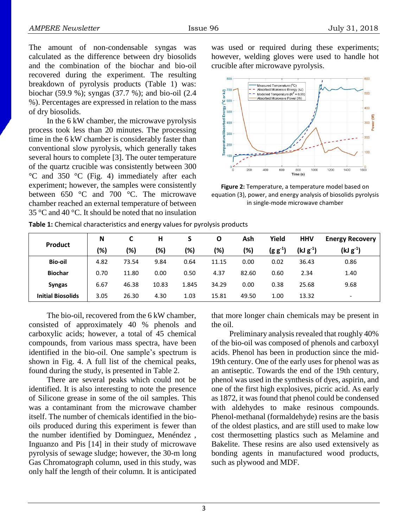The amount of non-condensable syngas was calculated as the difference between dry biosolids and the combination of the biochar and bio-oil recovered during the experiment. The resulting breakdown of pyrolysis products (Table 1) was: biochar (59.9 %); syngas (37.7 %); and bio-oil (2.4 %). Percentages are expressed in relation to the mass of dry biosolids.

In the 6 kW chamber, the microwave pyrolysis process took less than 20 minutes. The processing time in the 6 kW chamber is considerably faster than conventional slow pyrolysis, which generally takes several hours to complete [3]. The outer temperature of the quartz crucible was consistently between 300 °C and 350 °C (Fig. 4) immediately after each experiment; however, the samples were consistently between 650 °C and 700 °C. The microwave chamber reached an external temperature of between 35 °C and 40 °C. It should be noted that no insulation

was used or required during these experiments; however, welding gloves were used to handle hot crucible after microwave pyrolysis.



**Figure 2:** Temperature, a temperature model based on equation (3), power, and energy analysis of biosolids pyrolysis in single-mode microwave chamber

| Product                  | N    | С     | н     |       | О     | Ash   | Yield        | <b>HHV</b>    | <b>Energy Recovery</b>   |
|--------------------------|------|-------|-------|-------|-------|-------|--------------|---------------|--------------------------|
|                          | (%)  | (%)   | (%)   | (%)   | (%)   | (%)   | $(g g^{-1})$ | $(kJ g^{-1})$ | $(kJ g^{-1})$            |
| <b>Bio-oil</b>           | 4.82 | 73.54 | 9.84  | 0.64  | 11.15 | 0.00  | 0.02         | 36.43         | 0.86                     |
| <b>Biochar</b>           | 0.70 | 11.80 | 0.00  | 0.50  | 4.37  | 82.60 | 0.60         | 2.34          | 1.40                     |
| <b>Syngas</b>            | 6.67 | 46.38 | 10.83 | 1.845 | 34.29 | 0.00  | 0.38         | 25.68         | 9.68                     |
| <b>Initial Biosolids</b> | 3.05 | 26.30 | 4.30  | 1.03  | 15.81 | 49.50 | 1.00         | 13.32         | $\overline{\phantom{a}}$ |

**Table 1:** Chemical characteristics and energy values for pyrolysis products

The bio-oil, recovered from the 6 kW chamber, consisted of approximately 40 % phenols and carboxylic acids; however, a total of 45 chemical compounds, from various mass spectra, have been identified in the bio-oil. One sample's spectrum is shown in Fig. 4. A full list of the chemical peaks, found during the study, is presented in Table 2.

There are several peaks which could not be identified. It is also interesting to note the presence of Silicone grease in some of the oil samples. This was a contaminant from the microwave chamber itself. The number of chemicals identified in the biooils produced during this experiment is fewer than the number identified by Dominguez, Menéndez , Inguanzo and Pis [14] in their study of microwave pyrolysis of sewage sludge; however, the 30-m long Gas Chromatograph column, used in this study, was only half the length of their column. It is anticipated that more longer chain chemicals may be present in the oil.

Preliminary analysis revealed that roughly 40% of the bio-oil was composed of phenols and carboxyl acids. Phenol has been in production since the mid-19th century. One of the early uses for phenol was as an antiseptic. Towards the end of the 19th century, phenol was used in the synthesis of dyes, aspirin, and one of the first high explosives, picric acid. As early as 1872, it was found that phenol could be condensed with aldehydes to make resinous compounds. Phenol-methanal (formaldehyde) resins are the basis of the oldest plastics, and are still used to make low cost thermosetting plastics such as Melamine and Bakelite. These resins are also used extensively as bonding agents in manufactured wood products, such as plywood and MDF.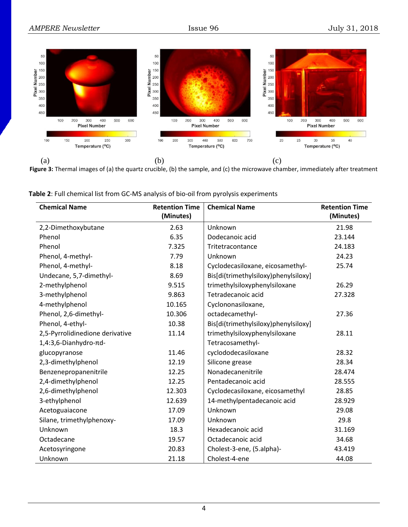

**Figure 3:** Thermal images of (a) the quartz crucible, (b) the sample, and (c) the microwave chamber, immediately after treatment

| <b>Chemical Name</b>            | <b>Retention Time</b> | <b>Chemical Name</b>                 | <b>Retention Time</b> |
|---------------------------------|-----------------------|--------------------------------------|-----------------------|
|                                 | (Minutes)             |                                      | (Minutes)             |
| 2,2-Dimethoxybutane             | 2.63                  | Unknown                              | 21.98                 |
| Phenol                          | 6.35                  | Dodecanoic acid                      | 23.144                |
| Phenol                          | 7.325                 | Tritetracontance                     | 24.183                |
| Phenol, 4-methyl-               | 7.79                  | Unknown                              | 24.23                 |
| Phenol, 4-methyl-               | 8.18                  | Cyclodecasiloxane, eicosamethyl-     | 25.74                 |
| Undecane, 5,7-dimethyl-         | 8.69                  | Bis[di(trimethylsiloxy)phenylsiloxy] |                       |
| 2-methylphenol                  | 9.515                 | trimethylsiloxyphenylsiloxane        | 26.29                 |
| 3-methylphenol                  | 9.863                 | Tetradecanoic acid                   | 27.328                |
| 4-methylphenol                  | 10.165                | Cyclononasiloxane,                   |                       |
| Phenol, 2,6-dimethyl-           | 10.306                | octadecamethyl-                      | 27.36                 |
| Phenol, 4-ethyl-                | 10.38                 | Bis[di(trimethylsiloxy)phenylsiloxy] |                       |
| 2,5-Pyrrolidinedione derivative | 11.14                 | trimethylsiloxyphenylsiloxane        | 28.11                 |
| 1,4:3,6-Dianhydro-πd-           |                       | Tetracosamethyl-                     |                       |
| glucopyranose                   | 11.46                 | cyclododecasiloxane                  | 28.32                 |
| 2,3-dimethylphenol              | 12.19                 | Silicone grease                      | 28.34                 |
| Benzenepropanenitrile           | 12.25                 | Nonadecanenitrile                    | 28.474                |
| 2,4-dimethylphenol              | 12.25                 | Pentadecanoic acid                   | 28.555                |
| 2,6-dimethylphenol              | 12.303                | Cyclodecasiloxane, eicosamethyl      | 28.85                 |
| 3-ethylphenol                   | 12.639                | 14-methylpentadecanoic acid          | 28.929                |
| Acetoguaiacone                  | 17.09                 | Unknown                              | 29.08                 |
| Silane, trimethylphenoxy-       | 17.09                 | Unknown                              | 29.8                  |
| Unknown                         | 18.3                  | Hexadecanoic acid                    | 31.169                |
| Octadecane                      | 19.57                 | Octadecanoic acid                    | 34.68                 |
| Acetosyringone                  | 20.83                 | Cholest-3-ene, (5.alpha)-            | 43.419                |
| Unknown                         | 21.18                 | Cholest-4-ene                        | 44.08                 |

**Table 2**: Full chemical list from GC-MS analysis of bio-oil from pyrolysis experiments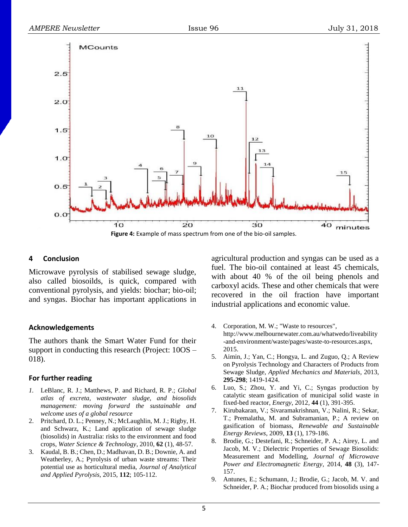

#### **4 Conclusion**

Microwave pyrolysis of stabilised sewage sludge, also called biosoilds, is quick, compared with conventional pyrolysis, and yields: biochar; bio-oil; and syngas. Biochar has important applications in

## **Acknowledgements**

The authors thank the Smart Water Fund for their support in conducting this research (Project: 10OS – 018).

## **For further reading**

- *1.* LeBlanc, R. J.; Matthews, P. and Richard, R. P.; *Global atlas of excreta, wastewater sludge, and biosolids management: moving forward the sustainable and welcome uses of a global resource*
- 2. Pritchard, D. L.; Penney, N.; McLaughlin, M. J.; Rigby, H. and Schwarz, K.; Land application of sewage sludge (biosolids) in Australia: risks to the environment and food crops, *Water Science & Technology*, 2010, **62** (1), 48-57.
- 3. Kaudal, B. B.; Chen, D.; Madhavan, D. B.; Downie, A. and Weatherley, A.; Pyrolysis of urban waste streams: Their potential use as horticultural media, *Journal of Analytical and Applied Pyrolysis*, 2015, **112**; 105-112.

agricultural production and syngas can be used as a fuel. The bio-oil contained at least 45 chemicals, with about 40 % of the oil being phenols and carboxyl acids. These and other chemicals that were recovered in the oil fraction have important industrial applications and economic value.

- 4. Corporation, M. W.; "Waste to resources", http://www.melbournewater.com.au/whatwedo/liveability -and-environment/waste/pages/waste-to-resources.aspx, 2015.
- 5. Aimin, J.; Yan, C.; Hongya, L. and Zuguo, Q.; A Review on Pyrolysis Technology and Characters of Products from Sewage Sludge, *Applied Mechanics and Materials*, 2013, **295-298**; 1419-1424.
- 6. Luo, S.; Zhou, Y. and Yi, C.; Syngas production by catalytic steam gasification of municipal solid waste in fixed-bed reactor, *Energy*, 2012*,* **44** (1), 391-395.
- 7. Kirubakaran, V.; Sivaramakrishnan, V.; Nalini, R.; Sekar, T.; Premalatha, M. and Subramanian, P.; A review on gasification of biomass, *Renewable and Sustainable Energy Reviews*, 2009, **13** (1), 179-186.
- 8. Brodie, G.; Destefani, R.; Schneider, P. A.; Airey, L. and Jacob, M. V.; Dielectric Properties of Sewage Biosolids: Measurement and Modelling, *Journal of Microwave Power and Electromagnetic Energy*, 2014*,* **48** (3), 147- 157.
- 9. Antunes, E.; Schumann, J.; Brodie, G.; Jacob, M. V. and Schneider, P. A.; Biochar produced from biosolids using a